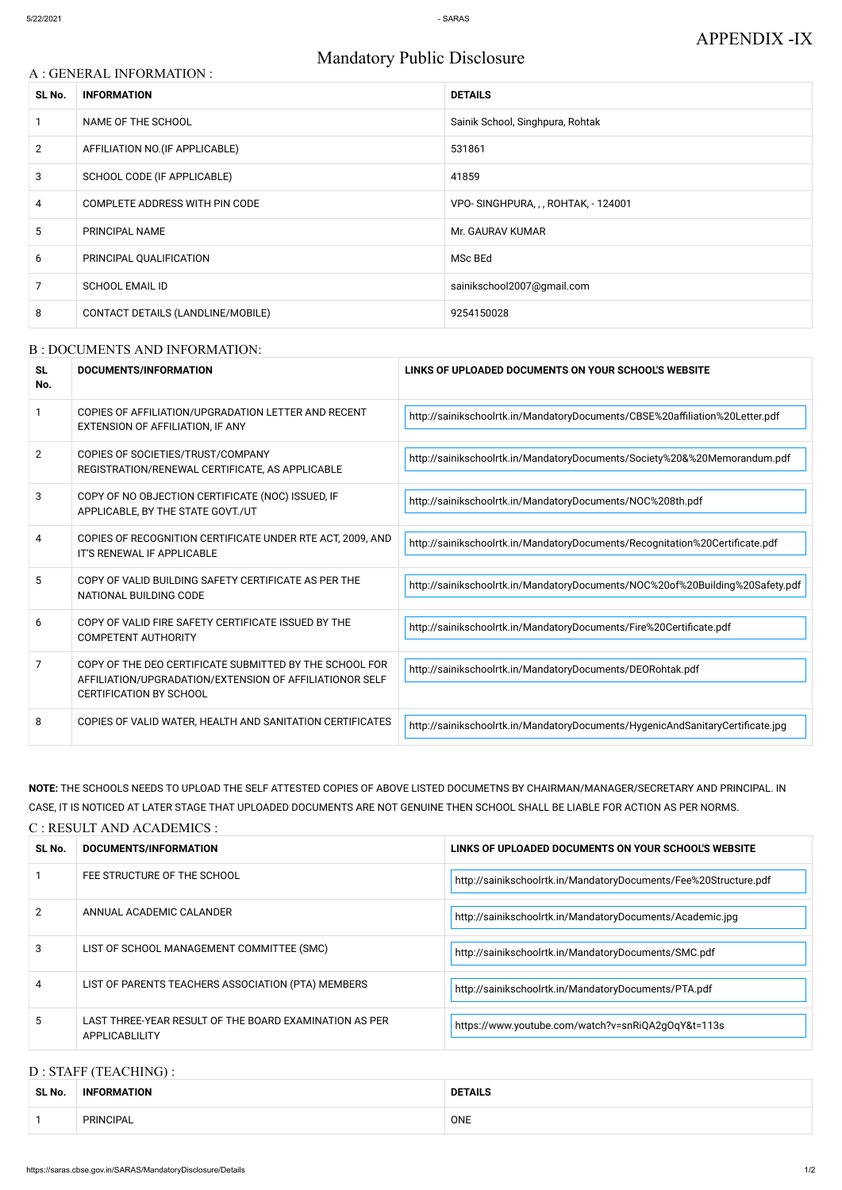# Mandatory Public Disclosure

## A : GENERAL INFORMATION :

| SL No.         | <b>INFORMATION</b>                | <b>DETAILS</b>                      |
|----------------|-----------------------------------|-------------------------------------|
|                | NAME OF THE SCHOOL                | Sainik School, Singhpura, Rohtak    |
| $\overline{2}$ | AFFILIATION NO. (IF APPLICABLE)   | 531861                              |
| 3              | SCHOOL CODE (IF APPLICABLE)       | 41859                               |
| 4              | COMPLETE ADDRESS WITH PIN CODE    | VPO-SINGHPURA, , , ROHTAK, - 124001 |
| 5              | PRINCIPAL NAME                    | Mr. GAURAV KUMAR                    |
| 6              | PRINCIPAL QUALIFICATION           | MSc BEd                             |
| 7              | <b>SCHOOL EMAIL ID</b>            | sainikschool2007@gmail.com          |
| 8              | CONTACT DETAILS (LANDLINE/MOBILE) | 9254150028                          |

#### B : DOCUMENTS AND INFORMATION:

| <b>SL</b><br>No. | <b>DOCUMENTS/INFORMATION</b>                                                                                                                         | LINKS OF UPLOADED DOCUMENTS ON YOUR SCHOOL'S WEBSITE                           |
|------------------|------------------------------------------------------------------------------------------------------------------------------------------------------|--------------------------------------------------------------------------------|
|                  | COPIES OF AFFILIATION/UPGRADATION LETTER AND RECENT<br>EXTENSION OF AFFILIATION, IF ANY                                                              | http://sainikschoolrtk.in/MandatoryDocuments/CBSE%20affiliation%20Letter.pdf   |
| $\overline{2}$   | COPIES OF SOCIETIES/TRUST/COMPANY<br>REGISTRATION/RENEWAL CERTIFICATE, AS APPLICABLE                                                                 | http://sainikschoolrtk.in/MandatoryDocuments/Society%20&%20Memorandum.pdf      |
| 3                | COPY OF NO OBJECTION CERTIFICATE (NOC) ISSUED, IF<br>APPLICABLE, BY THE STATE GOVT./UT                                                               | http://sainikschoolrtk.in/MandatoryDocuments/NOC%208th.pdf                     |
| 4                | COPIES OF RECOGNITION CERTIFICATE UNDER RTE ACT, 2009, AND<br>IT'S RENEWAL IF APPLICABLE                                                             | http://sainikschoolrtk.in/MandatoryDocuments/Recognitation%20Certificate.pdf   |
| 5                | COPY OF VALID BUILDING SAFETY CERTIFICATE AS PER THE<br>NATIONAL BUILDING CODE                                                                       | http://sainikschoolrtk.in/MandatoryDocuments/NOC%20of%20Building%20Safety.pdf  |
| 6                | COPY OF VALID FIRE SAFETY CERTIFICATE ISSUED BY THE<br><b>COMPETENT AUTHORITY</b>                                                                    | http://sainikschoolrtk.in/MandatoryDocuments/Fire%20Certificate.pdf            |
| 7                | COPY OF THE DEO CERTIFICATE SUBMITTED BY THE SCHOOL FOR<br>AFFILIATION/UPGRADATION/EXTENSION OF AFFILIATIONOR SELF<br><b>CERTIFICATION BY SCHOOL</b> | http://sainikschoolrtk.in/MandatoryDocuments/DEORohtak.pdf                     |
| 8                | COPIES OF VALID WATER, HEALTH AND SANITATION CERTIFICATES                                                                                            | http://sainikschoolrtk.in/MandatoryDocuments/HygenicAndSanitaryCertificate.jpg |

NOTE: THE SCHOOLS NEEDS TO UPLOAD THE SELF ATTESTED COPIES OF ABOVE LISTED DOCUMETNS BY CHAIRMAN/MANAGER/SECRETARY AND PRINCIPAL. IN CASE, IT IS NOTICED AT LATER STAGE THAT UPLOADED DOCUMENTS ARE NOT GENUINE THEN SCHOOL SHALL BE LIABLE FOR ACTION AS PER NORMS.

| C : RESULT AND ACADEMICS : |  |  |
|----------------------------|--|--|
|                            |  |  |

| SL No. | <b>DOCUMENTS/INFORMATION</b> | LINKS OF UPLOADED DOCUMENTS ON YOUR SCHOOL'S WEBSITE             |  |
|--------|------------------------------|------------------------------------------------------------------|--|
|        | FEE STRUCTURE OF THE SCHOOL  | http://sainikschoolrtk.in/MandatoryDocuments/Fee%20Structure.pdf |  |

| 2  | ANNUAL ACADEMIC CALANDER                                                 | http://sainikschoolrtk.in/MandatoryDocuments/Academic.jpg |
|----|--------------------------------------------------------------------------|-----------------------------------------------------------|
| 3  | LIST OF SCHOOL MANAGEMENT COMMITTEE (SMC)                                | http://sainikschoolrtk.in/MandatoryDocuments/SMC.pdf      |
|    | LIST OF PARENTS TEACHERS ASSOCIATION (PTA) MEMBERS                       | http://sainikschoolrtk.in/MandatoryDocuments/PTA.pdf      |
| ۰. | LAST THREE-YEAR RESULT OF THE BOARD EXAMINATION AS PER<br>APPLICABLILITY | https://www.youtube.com/watch?v=snRiQA2gOqY&t=113s        |

# D : STAFF (TEACHING) :

| SL No. | <b>INFORMATION</b> | <b>DETAILS</b> |
|--------|--------------------|----------------|
|        | PRINCIPAL          | ONE            |